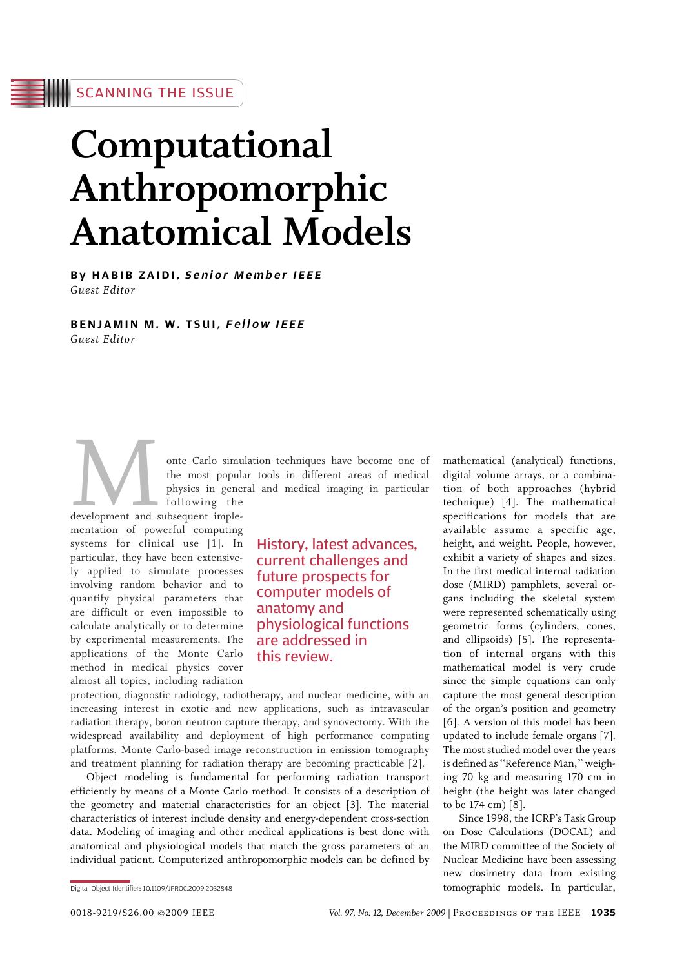# **Computational** Anthropomorphic Anatomical Models

By HABIB ZAIDI, Senior Member IEEE Guest Editor

BENJAMIN M. W. TSUI, Fellow IEEE Guest Editor

following the development and subsequent implementation of powerful computing systems for clinical use [1]. In particular, they have been extensively applied to simulate processes involving random behavior and to quantify physical parameters that are difficult or even impossible to calculate analytically or to determine by experimental measurements. The applications of the Monte Carlo method in medical physics cover almost all topics, including radiation

onte Carlo simulation techniques have become one of<br>the most popular tools in different areas of medical<br>physics in general and medical imaging in particular<br>following the<br>development and subsequent imple-<br>mentation of pow the most popular tools in different areas of medical physics in general and medical imaging in particular

> History, latest advances, current challenges and future prospects for computer models of anatomy and physiological functions are addressed in this review.

protection, diagnostic radiology, radiotherapy, and nuclear medicine, with an increasing interest in exotic and new applications, such as intravascular radiation therapy, boron neutron capture therapy, and synovectomy. With the widespread availability and deployment of high performance computing platforms, Monte Carlo-based image reconstruction in emission tomography and treatment planning for radiation therapy are becoming practicable [2].

Object modeling is fundamental for performing radiation transport efficiently by means of a Monte Carlo method. It consists of a description of the geometry and material characteristics for an object [3]. The material characteristics of interest include density and energy-dependent cross-section data. Modeling of imaging and other medical applications is best done with anatomical and physiological models that match the gross parameters of an individual patient. Computerized anthropomorphic models can be defined by

technique) [4]. The mathematical specifications for models that are available assume a specific age, height, and weight. People, however, exhibit a variety of shapes and sizes. In the first medical internal radiation dose (MIRD) pamphlets, several organs including the skeletal system were represented schematically using geometric forms (cylinders, cones, and ellipsoids) [5]. The representation of internal organs with this mathematical model is very crude since the simple equations can only capture the most general description of the organ's position and geometry [6]. A version of this model has been updated to include female organs [7]. The most studied model over the years is defined as "Reference Man," weighing 70 kg and measuring 170 cm in height (the height was later changed to be 174 cm) [8].

mathematical (analytical) functions, digital volume arrays, or a combination of both approaches (hybrid

Since 1998, the ICRP's Task Group on Dose Calculations (DOCAL) and the MIRD committee of the Society of Nuclear Medicine have been assessing new dosimetry data from existing Digital Object Identifier: 10.1109/JPROC.2009.2032848 tomographic models. In particular,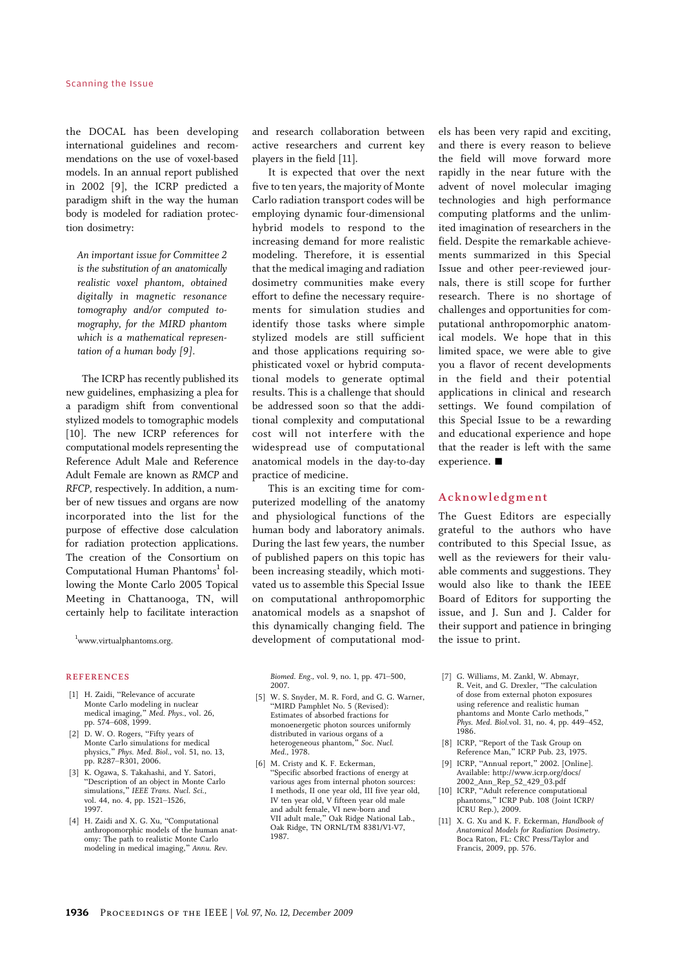the DOCAL has been developing international guidelines and recommendations on the use of voxel-based models. In an annual report published in 2002 [9], the ICRP predicted a paradigm shift in the way the human body is modeled for radiation protection dosimetry:

An important issue for Committee 2 is the substitution of an anatomically realistic voxel phantom, obtained digitally in magnetic resonance tomography and/or computed tomography, for the MIRD phantom which is a mathematical representation of a human body [9].

The ICRP has recently published its new guidelines, emphasizing a plea for a paradigm shift from conventional stylized models to tomographic models [10]. The new ICRP references for computational models representing the Reference Adult Male and Reference Adult Female are known as RMCP and RFCP, respectively. In addition, a number of new tissues and organs are now incorporated into the list for the purpose of effective dose calculation for radiation protection applications. The creation of the Consortium on Computational Human Phantoms<sup>1</sup> following the Monte Carlo 2005 Topical Meeting in Chattanooga, TN, will certainly help to facilitate interaction

<sup>1</sup>www.virtualphantoms.org.

## REFERENCES

- [1] H. Zaidi, "Relevance of accurate Monte Carlo modeling in nuclear<br>medical imaging," Med. Phys., vol. 26, pp. 574-608, 1999.
- [2] D. W. O. Rogers, "Fifty years of Monte Carlo simulations for medical physics," Phys. Med. Biol., vol. 51, no. 13, pp.  $R287-R301$ , 2006.
- [3] K. Ogawa, S. Takahashi, and Y. Satori, "Description of an object in Monte Carlo simulations," IEEE Trans. Nucl. Sci., vol. 44, no. 4, pp. 1521–1526, 1997.
- [4] H. Zaidi and X. G. Xu, "Computational anthropomorphic models of the human anatomy: The path to realistic Monte Carlo modeling in medical imaging," Annu. Rev.

and research collaboration between active researchers and current key players in the field [11].

It is expected that over the next five to ten years, the majority of Monte Carlo radiation transport codes will be employing dynamic four-dimensional hybrid models to respond to the increasing demand for more realistic modeling. Therefore, it is essential that the medical imaging and radiation dosimetry communities make every effort to define the necessary requirements for simulation studies and identify those tasks where simple stylized models are still sufficient and those applications requiring sophisticated voxel or hybrid computational models to generate optimal results. This is a challenge that should be addressed soon so that the additional complexity and computational cost will not interfere with the widespread use of computational anatomical models in the day-to-day practice of medicine.

This is an exciting time for computerized modelling of the anatomy and physiological functions of the human body and laboratory animals. During the last few years, the number of published papers on this topic has been increasing steadily, which motivated us to assemble this Special Issue on computational anthropomorphic anatomical models as a snapshot of this dynamically changing field. The development of computational mod-

> Biomed. Eng., vol. 9, no. 1, pp. 471-500, 2007.

- [5] W. S. Snyder, M. R. Ford, and G. G. Warner, "MIRD Pamphlet No. 5 (Revised): Estimates of absorbed fractions for monoenergetic photon sources uniformly distributed in various organs of a heterogeneous phantom," Soc. Nucl. Med., 1978.
- [6] M. Cristy and K. F. Eckerman, "Specific absorbed fractions of energy at various ages from internal photon sources: I methods, II one year old, III five year old, IV ten year old, V fifteen year old male and adult female, VI new-born and VII adult male," Oak Ridge National Lab.,<br>Oak Ridge, TN ORNL/TM 8381/V1-V7, 1987.

els has been very rapid and exciting, and there is every reason to believe the field will move forward more rapidly in the near future with the advent of novel molecular imaging technologies and high performance computing platforms and the unlimited imagination of researchers in the field. Despite the remarkable achievements summarized in this Special Issue and other peer-reviewed journals, there is still scope for further research. There is no shortage of challenges and opportunities for computational anthropomorphic anatomical models. We hope that in this limited space, we were able to give you a flavor of recent developments in the field and their potential applications in clinical and research settings. We found compilation of this Special Issue to be a rewarding and educational experience and hope that the reader is left with the same experience.  $\blacksquare$ 

# Acknowledgment

The Guest Editors are especially grateful to the authors who have contributed to this Special Issue, as well as the reviewers for their valuable comments and suggestions. They would also like to thank the IEEE Board of Editors for supporting the issue, and J. Sun and J. Calder for their support and patience in bringing the issue to print.

- [7] G. Williams, M. Zankl, W. Abmayr, R. Veit, and G. Drexler, "The calculation of dose from external photon exposures using reference and realistic human phantoms and Monte Carlo methods,"  $P$ hys. Med. Biol.vol. 31, no. 4, pp. 449–452, 1986.
- [8] ICRP, "Report of the Task Group on Reference Man," ICRP Pub. 23, 1975.
- [9] ICRP, "Annual report," 2002. [Online]. Available: http://www.icrp.org/docs/ 2002\_Ann\_Rep\_52\_429\_03.pdf<br>[10] ICRP, "Adult reference computational
- phantoms," ICRP Pub. 108 (Joint ICRP/ ICRU Rep.), 2009.
- [11] X. G. Xu and K. F. Eckerman, Handbook of Anatomical Models for Radiation Dosimetry. Boca Raton, FL: CRC Press/Taylor and Francis, 2009, pp. 576.